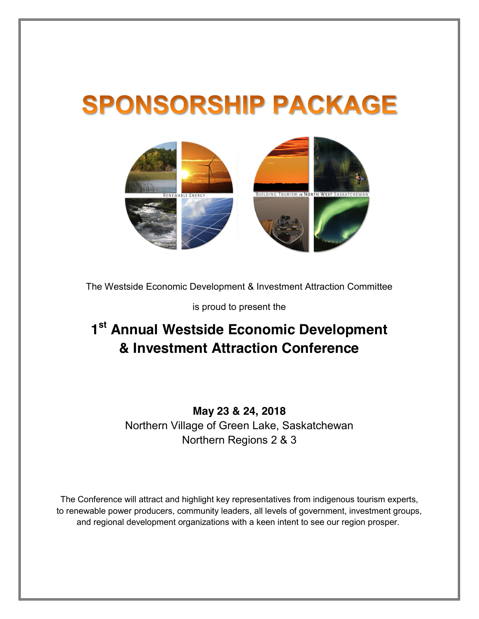# **SPONSORSHIP PACKAGE**



The Westside Economic Development & Investment Attraction Committee

is proud to present the

## **1st Annual Westside Economic Development & Investment Attraction Conference**

## **May 23 & 24, 2018**  Northern Village of Green Lake, Saskatchewan Northern Regions 2 & 3

The Conference will attract and highlight key representatives from indigenous tourism experts, to renewable power producers, community leaders, all levels of government, investment groups, and regional development organizations with a keen intent to see our region prosper.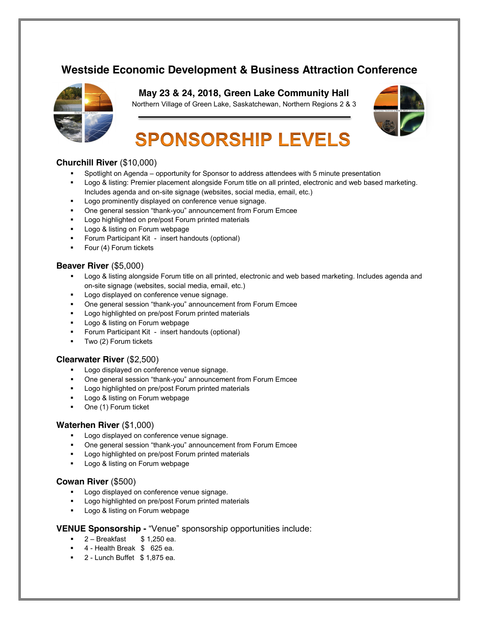## **Westside Economic Development & Business Attraction Conference**



**May 23 & 24, 2018, Green Lake Community Hall** 

Northern Village of Green Lake, Saskatchewan, Northern Regions 2 & 3



## **SPONSORSHIP LEVELS**

#### **Churchill River** (\$10,000)

- Spotlight on Agenda opportunity for Sponsor to address attendees with 5 minute presentation
- Logo & listing: Premier placement alongside Forum title on all printed, electronic and web based marketing. Includes agenda and on-site signage (websites, social media, email, etc.)
- **Logo prominently displayed on conference venue signage.**
- One general session "thank-you" announcement from Forum Emcee
- Logo highlighted on pre/post Forum printed materials
- Logo & listing on Forum webpage
- **Forum Participant Kit insert handouts (optional)**
- Four (4) Forum tickets

#### **Beaver River** (\$5,000)

- **Logo & listing alongside Forum title on all printed, electronic and web based marketing. Includes agenda and i** on-site signage (websites, social media, email, etc.)
- Logo displayed on conference venue signage.
- **One general session "thank-you" announcement from Forum Emcee**
- **Logo highlighted on pre/post Forum printed materials**
- Logo & listing on Forum webpage
- Forum Participant Kit insert handouts (optional)
- Two (2) Forum tickets

#### **Clearwater River** (\$2,500)

- Logo displayed on conference venue signage.
- One general session "thank-you" announcement from Forum Emcee
- **Logo highlighted on pre/post Forum printed materials**
- **Logo & listing on Forum webpage**
- One (1) Forum ticket

#### **Waterhen River** (\$1,000)

- Logo displayed on conference venue signage.
- One general session "thank-you" announcement from Forum Emcee
- Logo highlighted on pre/post Forum printed materials
- Logo & listing on Forum webpage

#### **Cowan River** (\$500)

- **Logo displayed on conference venue signage.**
- Logo highlighted on pre/post Forum printed materials
- **Logo & listing on Forum webpage**

#### **VENUE Sponsorship -** "Venue" sponsorship opportunities include:

- $\bullet$  2 Breakfast  $\$ 1.250$  ea.
- 4 Health Break \$ 625 ea.
- $\blacksquare$  2 Lunch Buffet  $$1,875$  ea.